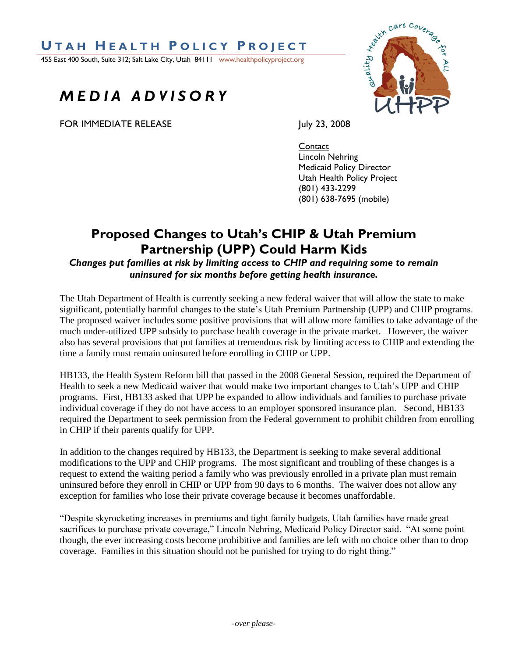### **U T A H H E A L T H P O L I C Y P R O J E C T**

455 East 400 South, Suite 312; Salt Lake City, Utah 84111 www.healthpolicyproject.org

# *M E D I A A D V I S O R Y*

FOR IMMEDIATE RELEASE July 23, 2008



**Contact** Lincoln Nehring Medicaid Policy Director Utah Health Policy Project (801) 433-2299 (801) 638-7695 (mobile)

## **Proposed Changes to Utah's CHIP & Utah Premium Partnership (UPP) Could Harm Kids**

*Changes put families at risk by limiting access to CHIP and requiring some to remain uninsured for six months before getting health insurance.*

The Utah Department of Health is currently seeking a new federal waiver that will allow the state to make significant, potentially harmful changes to the state's Utah Premium Partnership (UPP) and CHIP programs. The proposed waiver includes some positive provisions that will allow more families to take advantage of the much under-utilized UPP subsidy to purchase health coverage in the private market. However, the waiver also has several provisions that put families at tremendous risk by limiting access to CHIP and extending the time a family must remain uninsured before enrolling in CHIP or UPP.

HB133, the Health System Reform bill that passed in the 2008 General Session, required the Department of Health to seek a new Medicaid waiver that would make two important changes to Utah's UPP and CHIP programs. First, HB133 asked that UPP be expanded to allow individuals and families to purchase private individual coverage if they do not have access to an employer sponsored insurance plan. Second, HB133 required the Department to seek permission from the Federal government to prohibit children from enrolling in CHIP if their parents qualify for UPP.

In addition to the changes required by HB133, the Department is seeking to make several additional modifications to the UPP and CHIP programs. The most significant and troubling of these changes is a request to extend the waiting period a family who was previously enrolled in a private plan must remain uninsured before they enroll in CHIP or UPP from 90 days to 6 months. The waiver does not allow any exception for families who lose their private coverage because it becomes unaffordable.

"Despite skyrocketing increases in premiums and tight family budgets, Utah families have made great sacrifices to purchase private coverage," Lincoln Nehring, Medicaid Policy Director said. "At some point though, the ever increasing costs become prohibitive and families are left with no choice other than to drop coverage. Families in this situation should not be punished for trying to do right thing."